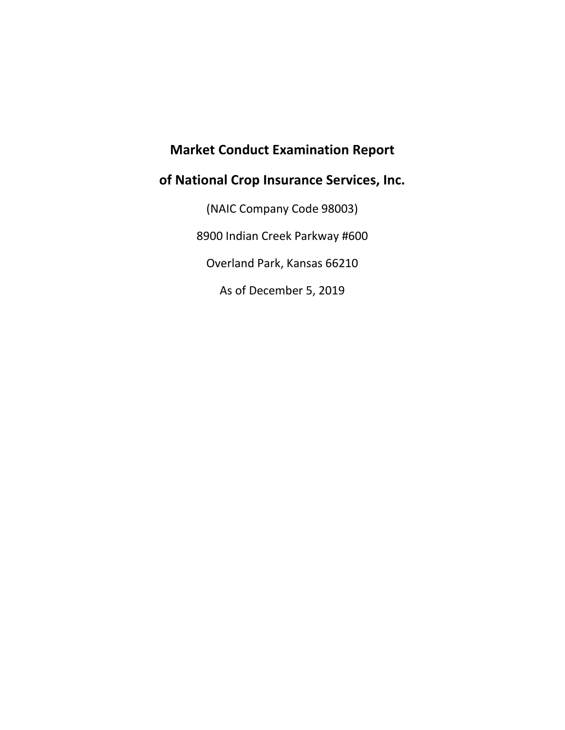# **Market Conduct Examination Report**

# **of National Crop Insurance Services, Inc.**

(NAIC Company Code 98003) 8900 Indian Creek Parkway #600 Overland Park, Kansas 66210 As of December 5, 2019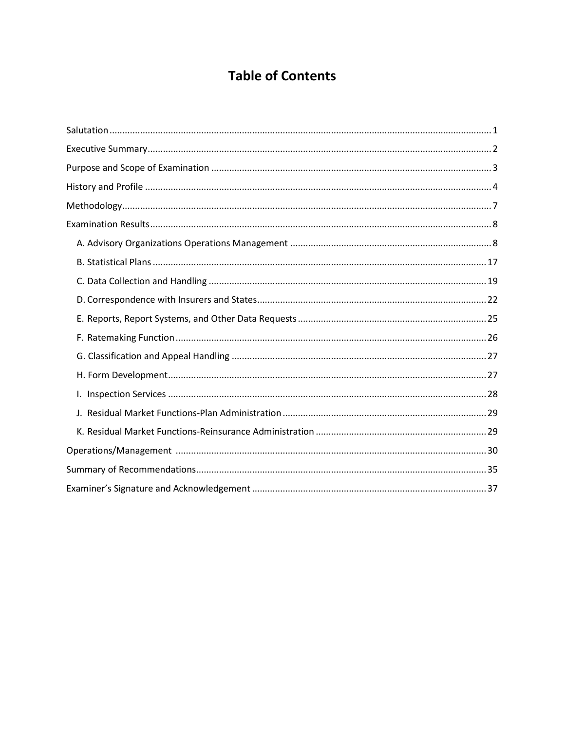# **Table of Contents**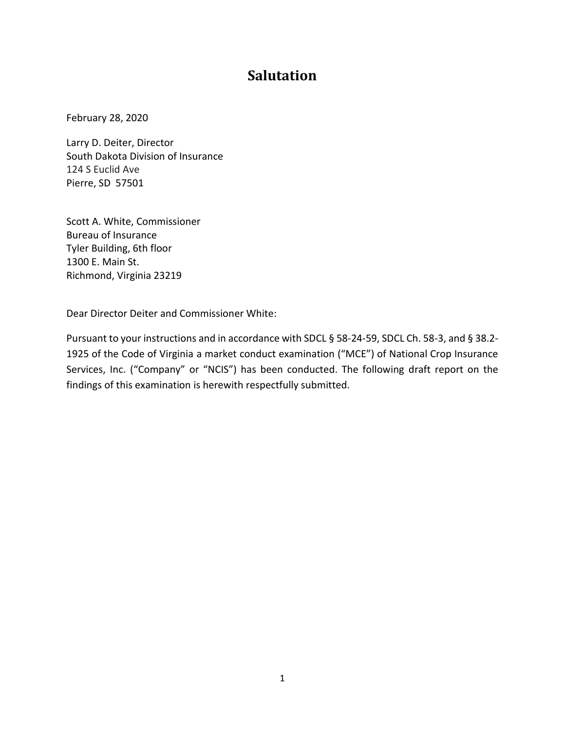# **Salutation**

<span id="page-2-0"></span>February 28, 2020

Larry D. Deiter, Director South Dakota Division of Insurance 124 S Euclid Ave Pierre, SD 57501

Scott A. White, Commissioner Bureau of Insurance Tyler Building, 6th floor 1300 E. Main St. Richmond, Virginia 23219

Dear Director Deiter and Commissioner White:

Pursuant to your instructions and in accordance with SDCL § 58-24-59, SDCL Ch. 58-3, and § 38.2- 1925 of the Code of Virginia a market conduct examination ("MCE") of National Crop Insurance Services, Inc. ("Company" or "NCIS") has been conducted. The following draft report on the findings of this examination is herewith respectfully submitted.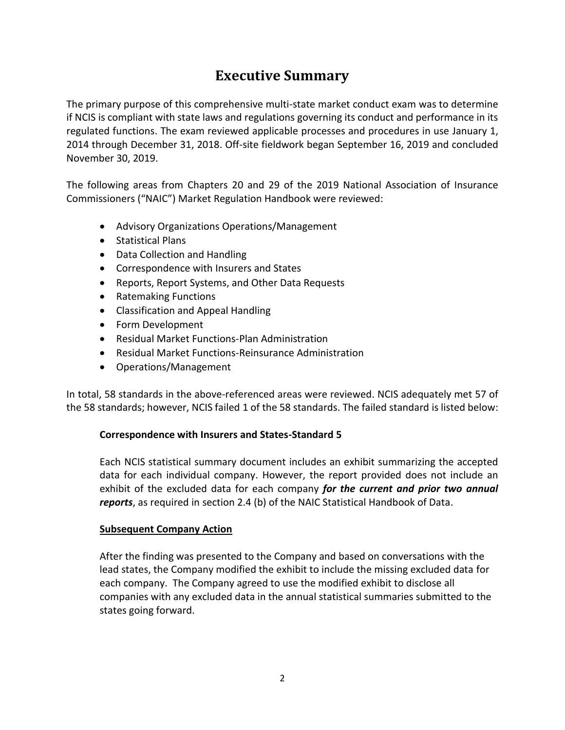# **Executive Summary**

<span id="page-3-0"></span>The primary purpose of this comprehensive multi-state market conduct exam was to determine if NCIS is compliant with state laws and regulations governing its conduct and performance in its regulated functions. The exam reviewed applicable processes and procedures in use January 1, 2014 through December 31, 2018. Off-site fieldwork began September 16, 2019 and concluded November 30, 2019.

The following areas from Chapters 20 and 29 of the 2019 National Association of Insurance Commissioners ("NAIC") Market Regulation Handbook were reviewed:

- Advisory Organizations Operations/Management
- Statistical Plans
- Data Collection and Handling
- Correspondence with Insurers and States
- Reports, Report Systems, and Other Data Requests
- Ratemaking Functions
- Classification and Appeal Handling
- Form Development
- Residual Market Functions-Plan Administration
- Residual Market Functions-Reinsurance Administration
- Operations/Management

In total, 58 standards in the above-referenced areas were reviewed. NCIS adequately met 57 of the 58 standards; however, NCIS failed 1 of the 58 standards. The failed standard is listed below:

## **Correspondence with Insurers and States-Standard 5**

Each NCIS statistical summary document includes an exhibit summarizing the accepted data for each individual company. However, the report provided does not include an exhibit of the excluded data for each company *for the current and prior two annual reports*, as required in section 2.4 (b) of the NAIC Statistical Handbook of Data.

## **Subsequent Company Action**

After the finding was presented to the Company and based on conversations with the lead states, the Company modified the exhibit to include the missing excluded data for each company. The Company agreed to use the modified exhibit to disclose all companies with any excluded data in the annual statistical summaries submitted to the states going forward.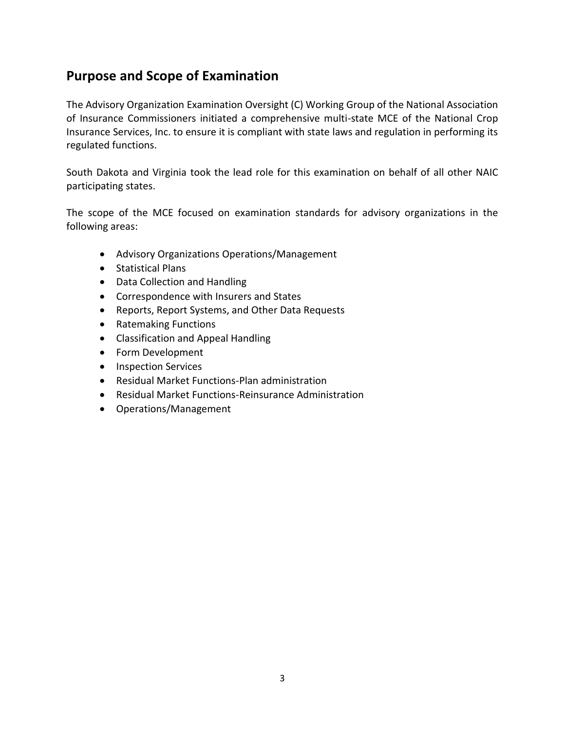# <span id="page-4-0"></span>**Purpose and Scope of Examination**

The Advisory Organization Examination Oversight (C) Working Group of the National Association of Insurance Commissioners initiated a comprehensive multi-state MCE of the National Crop Insurance Services, Inc. to ensure it is compliant with state laws and regulation in performing its regulated functions.

South Dakota and Virginia took the lead role for this examination on behalf of all other NAIC participating states.

The scope of the MCE focused on examination standards for advisory organizations in the following areas:

- Advisory Organizations Operations/Management
- Statistical Plans
- Data Collection and Handling
- Correspondence with Insurers and States
- Reports, Report Systems, and Other Data Requests
- Ratemaking Functions
- Classification and Appeal Handling
- Form Development
- Inspection Services
- Residual Market Functions-Plan administration
- Residual Market Functions-Reinsurance Administration
- Operations/Management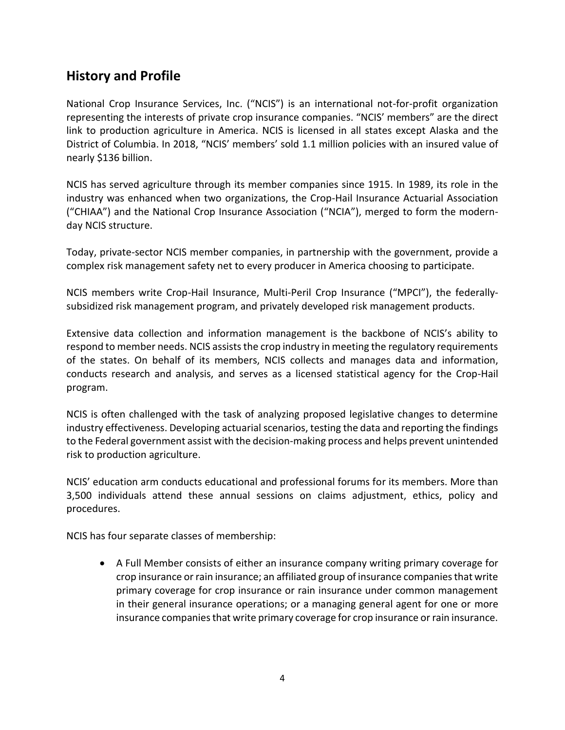# <span id="page-5-0"></span>**History and Profile**

National Crop Insurance Services, Inc. ("NCIS") is an international not-for-profit organization representing the interests of private crop insurance companies. "NCIS' members" are the direct link to production agriculture in America. NCIS is licensed in all states except Alaska and the District of Columbia. In 2018, "NCIS' members' sold 1.1 million policies with an insured value of nearly \$136 billion.

NCIS has served agriculture through its member companies since 1915. In 1989, its role in the industry was enhanced when two organizations, the Crop-Hail Insurance Actuarial Association ("CHIAA") and the National Crop Insurance Association ("NCIA"), merged to form the modernday NCIS structure.

Today, private-sector NCIS member companies, in partnership with the government, provide a complex risk management safety net to every producer in America choosing to participate.

NCIS members write Crop-Hail Insurance, Multi-Peril Crop Insurance ("MPCI"), the federallysubsidized risk management program, and privately developed risk management products.

Extensive data collection and information management is the backbone of NCIS's ability to respond to member needs. NCIS assists the crop industry in meeting the regulatory requirements of the states. On behalf of its members, NCIS collects and manages data and information, conducts research and analysis, and serves as a licensed statistical agency for the Crop-Hail program.

NCIS is often challenged with the task of analyzing proposed legislative changes to determine industry effectiveness. Developing actuarial scenarios, testing the data and reporting the findings to the Federal government assist with the decision-making process and helps prevent unintended risk to production agriculture.

NCIS' education arm conducts educational and professional forums for its members. More than 3,500 individuals attend these annual sessions on claims adjustment, ethics, policy and procedures.

NCIS has four separate classes of membership:

• A Full Member consists of either an insurance company writing primary coverage for crop insurance or rain insurance; an affiliated group of insurance companies that write primary coverage for crop insurance or rain insurance under common management in their general insurance operations; or a managing general agent for one or more insurance companies that write primary coverage for crop insurance or rain insurance.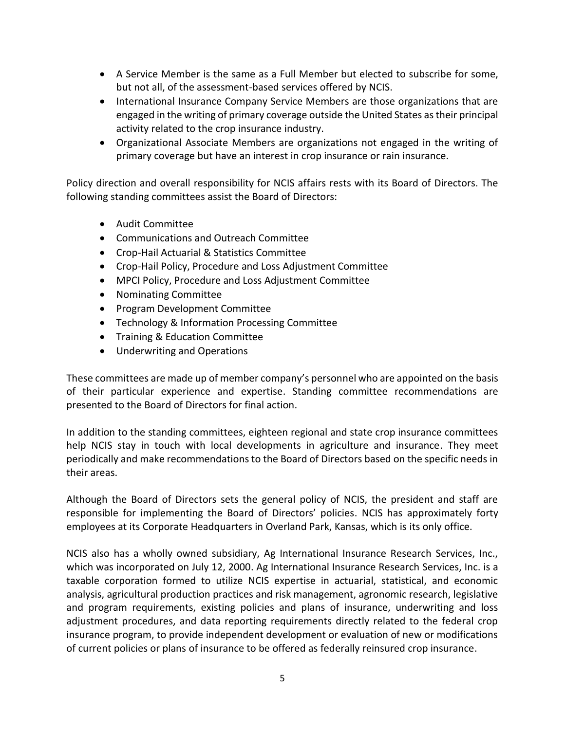- A Service Member is the same as a Full Member but elected to subscribe for some, but not all, of the assessment-based services offered by NCIS.
- International Insurance Company Service Members are those organizations that are engaged in the writing of primary coverage outside the United States as their principal activity related to the crop insurance industry.
- Organizational Associate Members are organizations not engaged in the writing of primary coverage but have an interest in crop insurance or rain insurance.

Policy direction and overall responsibility for NCIS affairs rests with its Board of Directors. The following standing committees assist the Board of Directors:

- Audit Committee
- Communications and Outreach Committee
- Crop-Hail Actuarial & Statistics Committee
- Crop-Hail Policy, Procedure and Loss Adjustment Committee
- MPCI Policy, Procedure and Loss Adjustment Committee
- Nominating Committee
- Program Development Committee
- Technology & Information Processing Committee
- Training & Education Committee
- Underwriting and Operations

These committees are made up of member company's personnel who are appointed on the basis of their particular experience and expertise. Standing committee recommendations are presented to the Board of Directors for final action.

In addition to the standing committees, eighteen regional and state crop insurance committees help NCIS stay in touch with local developments in agriculture and insurance. They meet periodically and make recommendations to the Board of Directors based on the specific needs in their areas.

Although the Board of Directors sets the general policy of NCIS, the president and staff are responsible for implementing the Board of Directors' policies. NCIS has approximately forty employees at its Corporate Headquarters in Overland Park, Kansas, which is its only office.

NCIS also has a wholly owned subsidiary, Ag International Insurance Research Services, Inc., which was incorporated on July 12, 2000. Ag International Insurance Research Services, Inc. is a taxable corporation formed to utilize NCIS expertise in actuarial, statistical, and economic analysis, agricultural production practices and risk management, agronomic research, legislative and program requirements, existing policies and plans of insurance, underwriting and loss adjustment procedures, and data reporting requirements directly related to the federal crop insurance program, to provide independent development or evaluation of new or modifications of current policies or plans of insurance to be offered as federally reinsured crop insurance.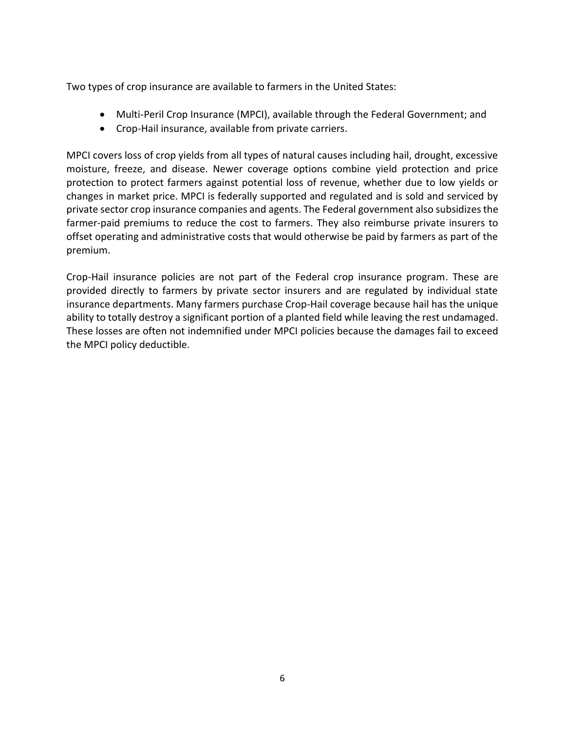Two types of crop insurance are available to farmers in the United States:

- Multi-Peril Crop Insurance (MPCI), available through the Federal Government; and
- Crop-Hail insurance, available from private carriers.

MPCI covers loss of crop yields from all types of natural causes including hail, drought, excessive moisture, freeze, and disease. Newer coverage options combine yield protection and price protection to protect farmers against potential loss of revenue, whether due to low yields or changes in market price. MPCI is federally supported and regulated and is sold and serviced by private sector crop insurance companies and agents. The Federal government also subsidizes the farmer-paid premiums to reduce the cost to farmers. They also reimburse private insurers to offset operating and administrative costs that would otherwise be paid by farmers as part of the premium.

Crop-Hail insurance policies are not part of the Federal crop insurance program. These are provided directly to farmers by private sector insurers and are regulated by individual state insurance departments. Many farmers purchase Crop-Hail coverage because hail has the unique ability to totally destroy a significant portion of a planted field while leaving the rest undamaged. These losses are often not indemnified under MPCI policies because the damages fail to exceed the MPCI policy deductible.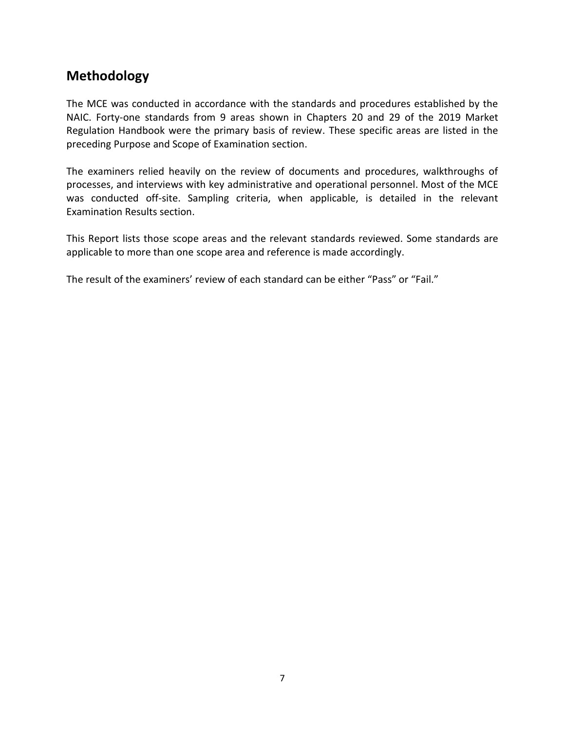# <span id="page-8-0"></span>**Methodology**

The MCE was conducted in accordance with the standards and procedures established by the NAIC. Forty-one standards from 9 areas shown in Chapters 20 and 29 of the 2019 Market Regulation Handbook were the primary basis of review. These specific areas are listed in the preceding Purpose and Scope of Examination section.

The examiners relied heavily on the review of documents and procedures, walkthroughs of processes, and interviews with key administrative and operational personnel. Most of the MCE was conducted off-site. Sampling criteria, when applicable, is detailed in the relevant Examination Results section.

This Report lists those scope areas and the relevant standards reviewed. Some standards are applicable to more than one scope area and reference is made accordingly.

The result of the examiners' review of each standard can be either "Pass" or "Fail."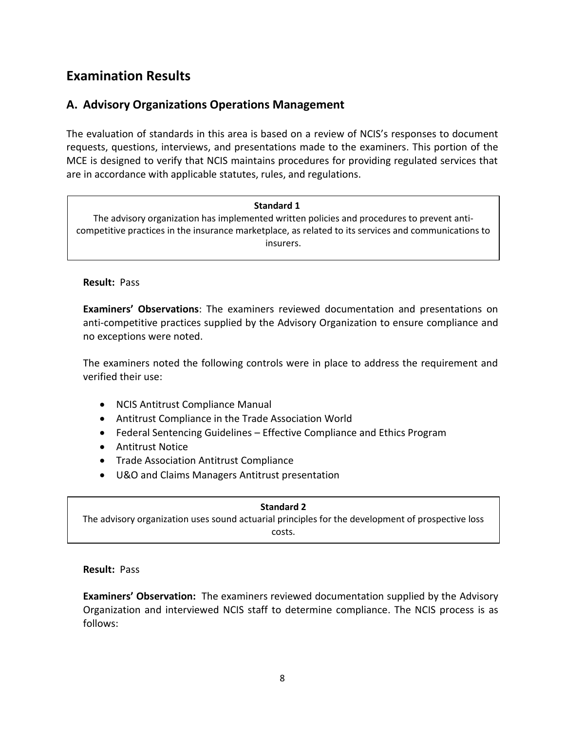# <span id="page-9-0"></span>**Examination Results**

## <span id="page-9-1"></span>**A. Advisory Organizations Operations Management**

The evaluation of standards in this area is based on a review of NCIS's responses to document requests, questions, interviews, and presentations made to the examiners. This portion of the MCE is designed to verify that NCIS maintains procedures for providing regulated services that are in accordance with applicable statutes, rules, and regulations.

#### **Standard 1**

The advisory organization has implemented written policies and procedures to prevent anticompetitive practices in the insurance marketplace, as related to its services and communications to insurers.

#### **Result:** Pass

**Examiners' Observations**: The examiners reviewed documentation and presentations on anti-competitive practices supplied by the Advisory Organization to ensure compliance and no exceptions were noted.

The examiners noted the following controls were in place to address the requirement and verified their use:

- NCIS Antitrust Compliance Manual
- Antitrust Compliance in the Trade Association World
- Federal Sentencing Guidelines Effective Compliance and Ethics Program
- Antitrust Notice
- Trade Association Antitrust Compliance
- U&O and Claims Managers Antitrust presentation

**Standard 2** The advisory organization uses sound actuarial principles for the development of prospective loss costs.

#### **Result:** Pass

**Examiners' Observation:** The examiners reviewed documentation supplied by the Advisory Organization and interviewed NCIS staff to determine compliance. The NCIS process is as follows: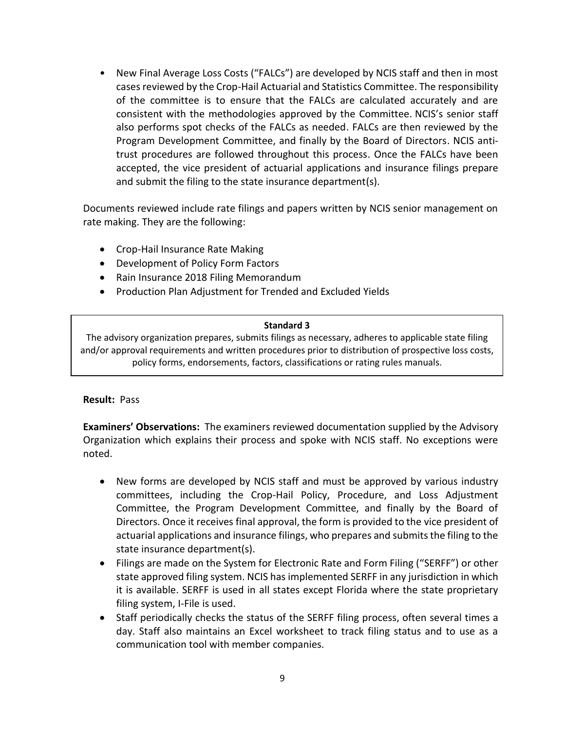• New Final Average Loss Costs ("FALCs") are developed by NCIS staff and then in most cases reviewed by the Crop-Hail Actuarial and Statistics Committee. The responsibility of the committee is to ensure that the FALCs are calculated accurately and are consistent with the methodologies approved by the Committee. NCIS's senior staff also performs spot checks of the FALCs as needed. FALCs are then reviewed by the Program Development Committee, and finally by the Board of Directors. NCIS antitrust procedures are followed throughout this process. Once the FALCs have been accepted, the vice president of actuarial applications and insurance filings prepare and submit the filing to the state insurance department(s).

Documents reviewed include rate filings and papers written by NCIS senior management on rate making. They are the following:

- Crop-Hail Insurance Rate Making
- Development of Policy Form Factors
- Rain Insurance 2018 Filing Memorandum
- Production Plan Adjustment for Trended and Excluded Yields

#### **Standard 3**

The advisory organization prepares, submits filings as necessary, adheres to applicable state filing and/or approval requirements and written procedures prior to distribution of prospective loss costs, policy forms, endorsements, factors, classifications or rating rules manuals.

#### **Result:** Pass

**Examiners' Observations:** The examiners reviewed documentation supplied by the Advisory Organization which explains their process and spoke with NCIS staff. No exceptions were noted.

- New forms are developed by NCIS staff and must be approved by various industry committees, including the Crop-Hail Policy, Procedure, and Loss Adjustment Committee, the Program Development Committee, and finally by the Board of Directors. Once it receives final approval, the form is provided to the vice president of actuarial applications and insurance filings, who prepares and submits the filing to the state insurance department(s).
- Filings are made on the System for Electronic Rate and Form Filing ("SERFF") or other state approved filing system. NCIS has implemented SERFF in any jurisdiction in which it is available. SERFF is used in all states except Florida where the state proprietary filing system, I-File is used.
- Staff periodically checks the status of the SERFF filing process, often several times a day. Staff also maintains an Excel worksheet to track filing status and to use as a communication tool with member companies.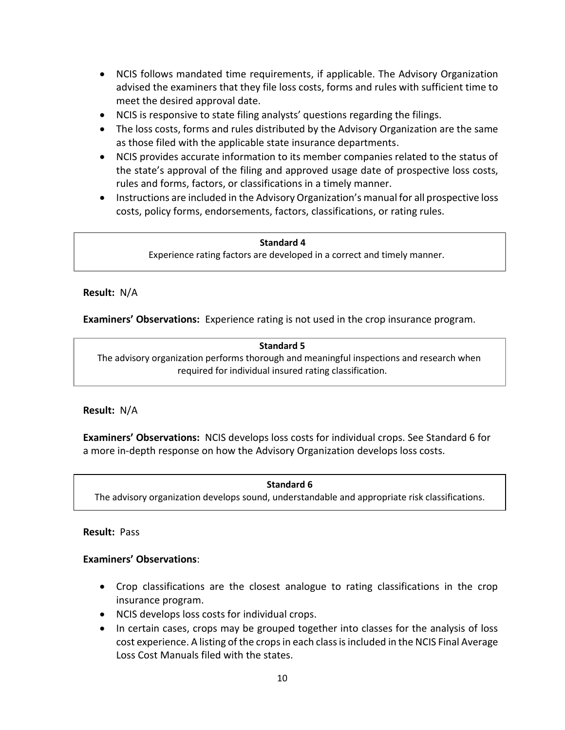- NCIS follows mandated time requirements, if applicable. The Advisory Organization advised the examiners that they file loss costs, forms and rules with sufficient time to meet the desired approval date.
- NCIS is responsive to state filing analysts' questions regarding the filings.
- The loss costs, forms and rules distributed by the Advisory Organization are the same as those filed with the applicable state insurance departments.
- NCIS provides accurate information to its member companies related to the status of the state's approval of the filing and approved usage date of prospective loss costs, rules and forms, factors, or classifications in a timely manner.
- Instructions are included in the Advisory Organization's manual for all prospective loss costs, policy forms, endorsements, factors, classifications, or rating rules.

#### **Standard 4**

Experience rating factors are developed in a correct and timely manner.

## **Result:** N/A

**Examiners' Observations:** Experience rating is not used in the crop insurance program.

**Standard 5** The advisory organization performs thorough and meaningful inspections and research when required for individual insured rating classification.

## **Result:** N/A

l

**Examiners' Observations:** NCIS develops loss costs for individual crops. See Standard 6 for a more in-depth response on how the Advisory Organization develops loss costs.

#### **Standard 6**

The advisory organization develops sound, understandable and appropriate risk classifications.

#### **Result:** Pass

## **Examiners' Observations**:

- Crop classifications are the closest analogue to rating classifications in the crop insurance program.
- NCIS develops loss costs for individual crops.
- In certain cases, crops may be grouped together into classes for the analysis of loss cost experience. A listing of the crops in each class is included in the NCIS Final Average Loss Cost Manuals filed with the states.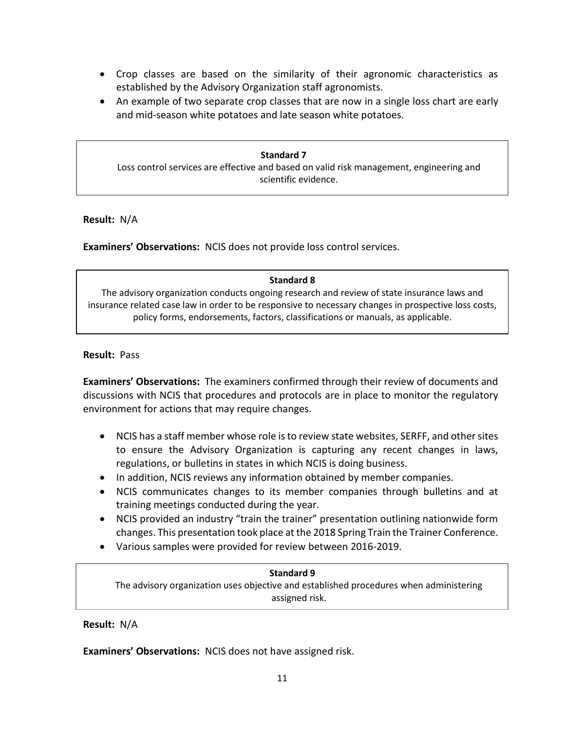- Crop classes are based on the similarity of their agronomic characteristics as established by the Advisory Organization staff agronomists.
- An example of two separate crop classes that are now in a single loss chart are early and mid-season white potatoes and late season white potatoes.

#### **Standard 7** Loss control services are effective and based on valid risk management, engineering and scientific evidence.

j

**Result:** N/A

**Examiners' Observations:** NCIS does not provide loss control services.

## **Standard 8**

The advisory organization conducts ongoing research and review of state insurance laws and insurance related case law in order to be responsive to necessary changes in prospective loss costs, policy forms, endorsements, factors, classifications or manuals, as applicable.

## **Result:** Pass

**Examiners' Observations:** The examiners confirmed through their review of documents and discussions with NCIS that procedures and protocols are in place to monitor the regulatory environment for actions that may require changes.

- NCIS has a staff member whose role is to review state websites, SERFF, and other sites to ensure the Advisory Organization is capturing any recent changes in laws, regulations, or bulletins in states in which NCIS is doing business.
- In addition, NCIS reviews any information obtained by member companies.
- NCIS communicates changes to its member companies through bulletins and at training meetings conducted during the year.
- NCIS provided an industry "train the trainer" presentation outlining nationwide form changes. This presentation took place at the 2018 Spring Train the Trainer Conference.
- Various samples were provided for review between 2016-2019.

#### **Standard 9**

The advisory organization uses objective and established procedures when administering assigned risk.

## **Result:** N/A

**Examiners' Observations:** NCIS does not have assigned risk.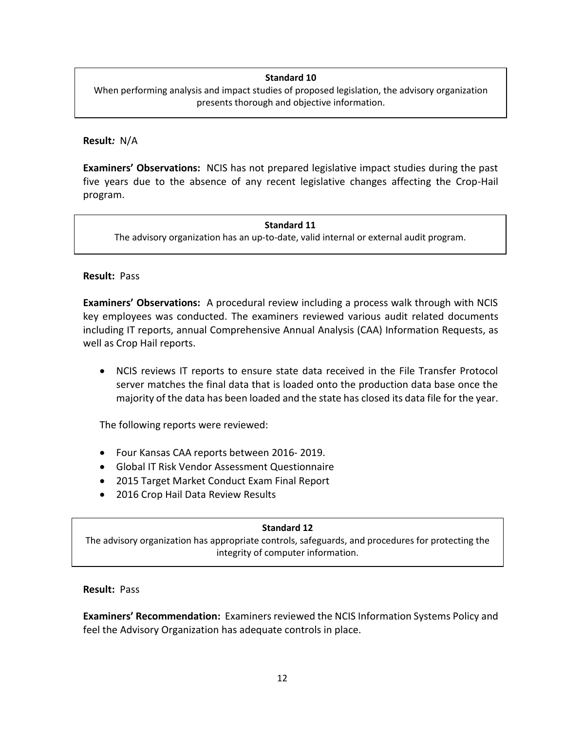## **Standard 10**

When performing analysis and impact studies of proposed legislation, the advisory organization presents thorough and objective information.

#### **Result***:* N/A

**Examiners' Observations:** NCIS has not prepared legislative impact studies during the past five years due to the absence of any recent legislative changes affecting the Crop-Hail program.

#### **Standard 11**

The advisory organization has an up-to-date, valid internal or external audit program.

## **Result:** Pass

**Examiners' Observations:** A procedural review including a process walk through with NCIS key employees was conducted. The examiners reviewed various audit related documents including IT reports, annual Comprehensive Annual Analysis (CAA) Information Requests, as well as Crop Hail reports.

• NCIS reviews IT reports to ensure state data received in the File Transfer Protocol server matches the final data that is loaded onto the production data base once the majority of the data has been loaded and the state has closed its data file for the year.

The following reports were reviewed:

- Four Kansas CAA reports between 2016- 2019.
- Global IT Risk Vendor Assessment Questionnaire
- 2015 Target Market Conduct Exam Final Report
- 2016 Crop Hail Data Review Results

#### **Standard 12**

The advisory organization has appropriate controls, safeguards, and procedures for protecting the integrity of computer information.

#### **Result:**Pass

**Examiners' Recommendation:** Examiners reviewed the NCIS Information Systems Policy and feel the Advisory Organization has adequate controls in place.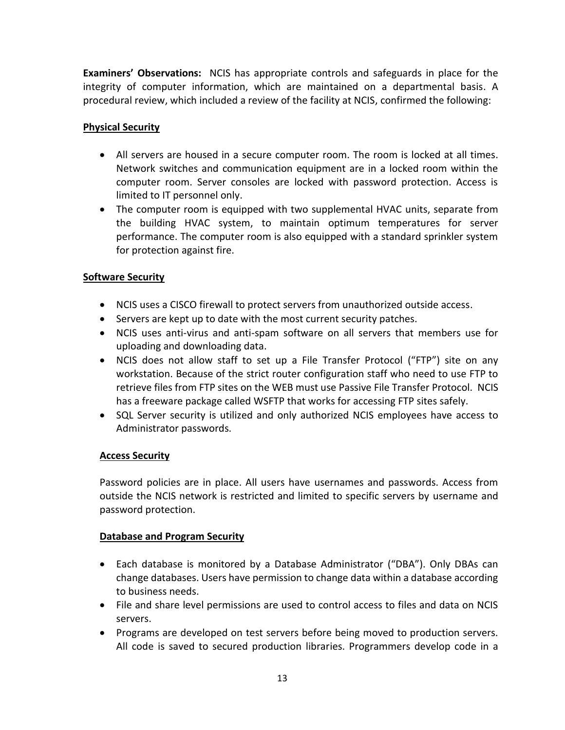**Examiners' Observations:** NCIS has appropriate controls and safeguards in place for the integrity of computer information, which are maintained on a departmental basis. A procedural review, which included a review of the facility at NCIS, confirmed the following:

## **Physical Security**

- All servers are housed in a secure computer room. The room is locked at all times. Network switches and communication equipment are in a locked room within the computer room. Server consoles are locked with password protection. Access is limited to IT personnel only.
- The computer room is equipped with two supplemental HVAC units, separate from the building HVAC system, to maintain optimum temperatures for server performance. The computer room is also equipped with a standard sprinkler system for protection against fire.

## **Software Security**

- NCIS uses a CISCO firewall to protect servers from unauthorized outside access.
- Servers are kept up to date with the most current security patches.
- NCIS uses anti-virus and anti-spam software on all servers that members use for uploading and downloading data.
- NCIS does not allow staff to set up a File Transfer Protocol ("FTP") site on any workstation. Because of the strict router configuration staff who need to use FTP to retrieve files from FTP sites on the WEB must use Passive File Transfer Protocol. NCIS has a freeware package called WSFTP that works for accessing FTP sites safely.
- SQL Server security is utilized and only authorized NCIS employees have access to Administrator passwords.

## **Access Security**

Password policies are in place. All users have usernames and passwords. Access from outside the NCIS network is restricted and limited to specific servers by username and password protection.

## **Database and Program Security**

- Each database is monitored by a Database Administrator ("DBA"). Only DBAs can change databases. Users have permission to change data within a database according to business needs.
- File and share level permissions are used to control access to files and data on NCIS servers.
- Programs are developed on test servers before being moved to production servers. All code is saved to secured production libraries. Programmers develop code in a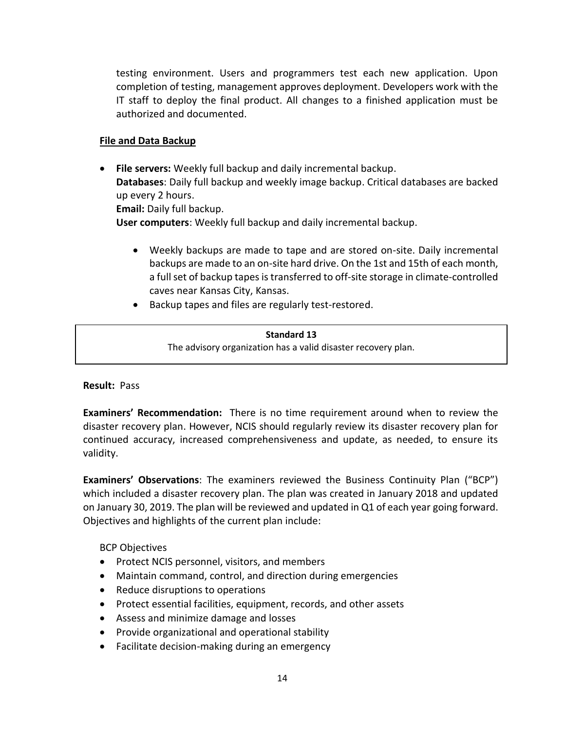testing environment. Users and programmers test each new application. Upon completion of testing, management approves deployment. Developers work with the IT staff to deploy the final product. All changes to a finished application must be authorized and documented.

## **File and Data Backup**

- **File servers:** Weekly full backup and daily incremental backup. **Databases**: Daily full backup and weekly image backup. Critical databases are backed up every 2 hours. **Email:** Daily full backup. **User computers**: Weekly full backup and daily incremental backup.
	- Weekly backups are made to tape and are stored on-site. Daily incremental backups are made to an on-site hard drive. On the 1st and 15th of each month, a full set of backup tapes is transferred to off-site storage in climate‐controlled caves near Kansas City, Kansas.
	- Backup tapes and files are regularly test‐restored.

#### **Standard 13**

The advisory organization has a valid disaster recovery plan.

## **Result:** Pass

**Examiners' Recommendation:** There is no time requirement around when to review the disaster recovery plan. However, NCIS should regularly review its disaster recovery plan for continued accuracy, increased comprehensiveness and update, as needed, to ensure its validity.

**Examiners' Observations**: The examiners reviewed the Business Continuity Plan ("BCP") which included a disaster recovery plan. The plan was created in January 2018 and updated on January 30, 2019. The plan will be reviewed and updated in Q1 of each year going forward. Objectives and highlights of the current plan include:

BCP Objectives

- Protect NCIS personnel, visitors, and members
- Maintain command, control, and direction during emergencies
- Reduce disruptions to operations
- Protect essential facilities, equipment, records, and other assets
- Assess and minimize damage and losses
- Provide organizational and operational stability
- Facilitate decision‐making during an emergency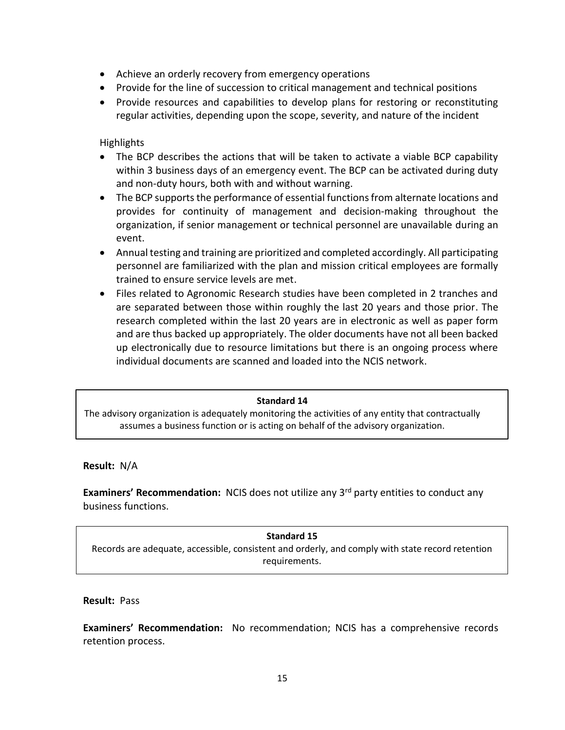- Achieve an orderly recovery from emergency operations
- Provide for the line of succession to critical management and technical positions
- Provide resources and capabilities to develop plans for restoring or reconstituting regular activities, depending upon the scope, severity, and nature of the incident

**Highlights** 

- The BCP describes the actions that will be taken to activate a viable BCP capability within 3 business days of an emergency event. The BCP can be activated during duty and non‐duty hours, both with and without warning.
- The BCP supports the performance of essential functions from alternate locations and provides for continuity of management and decision‐making throughout the organization, if senior management or technical personnel are unavailable during an event.
- Annual testing and training are prioritized and completed accordingly. All participating personnel are familiarized with the plan and mission critical employees are formally trained to ensure service levels are met.
- Files related to Agronomic Research studies have been completed in 2 tranches and are separated between those within roughly the last 20 years and those prior. The research completed within the last 20 years are in electronic as well as paper form and are thus backed up appropriately. The older documents have not all been backed up electronically due to resource limitations but there is an ongoing process where individual documents are scanned and loaded into the NCIS network.

#### $\overline{a}$ **Standard 14**

The advisory organization is adequately monitoring the activities of any entity that contractually assumes a business function or is acting on behalf of the advisory organization.

**Result:** N/A

**Examiners' Recommendation:** NCIS does not utilize any 3<sup>rd</sup> party entities to conduct any business functions.

**Standard 15** Records are adequate, accessible, consistent and orderly, and comply with state record retention requirements.

#### **Result:** Pass

**Examiners' Recommendation:** No recommendation; NCIS has a comprehensive records retention process.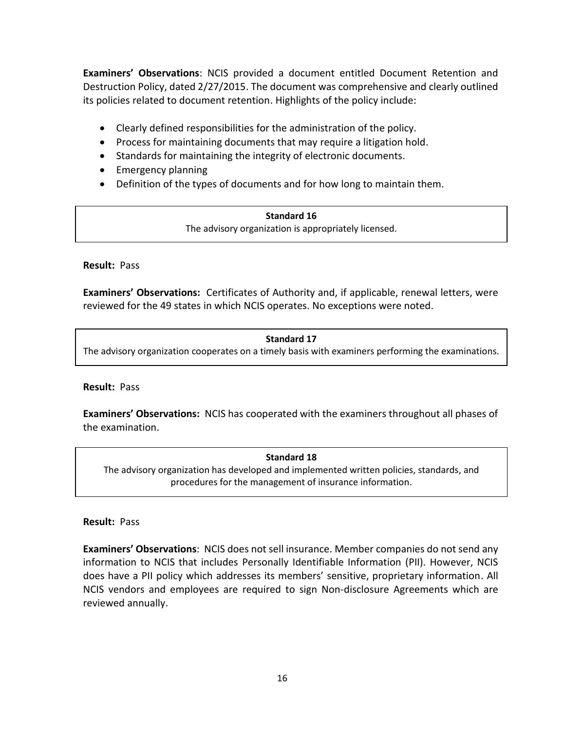**Examiners' Observations**: NCIS provided a document entitled Document Retention and Destruction Policy, dated 2/27/2015. The document was comprehensive and clearly outlined its policies related to document retention. Highlights of the policy include:

- Clearly defined responsibilities for the administration of the policy.
- Process for maintaining documents that may require a litigation hold.
- Standards for maintaining the integrity of electronic documents.
- Emergency planning
- Definition of the types of documents and for how long to maintain them.

**Standard 16** The advisory organization is appropriately licensed.

## **Result:**Pass

**Examiners' Observations:** Certificates of Authority and, if applicable, renewal letters, were reviewed for the 49 states in which NCIS operates. No exceptions were noted.

## **Standard 17** The advisory organization cooperates on a timely basis with examiners performing the examinations.

## **Result:** Pass

**Examiners' Observations:** NCIS has cooperated with the examiners throughout all phases of the examination.

**Standard 18** The advisory organization has developed and implemented written policies, standards, and procedures for the management of insurance information.

## **Result:** Pass

**Examiners' Observations**: NCIS does not sell insurance. Member companies do not send any information to NCIS that includes Personally Identifiable Information (PII). However, NCIS does have a PII policy which addresses its members' sensitive, proprietary information. All NCIS vendors and employees are required to sign Non-disclosure Agreements which are reviewed annually.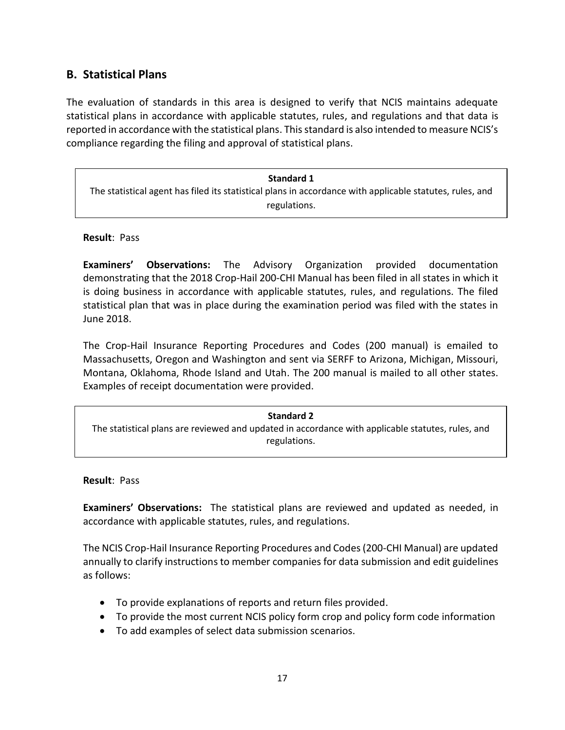## <span id="page-18-0"></span>**B. Statistical Plans**

The evaluation of standards in this area is designed to verify that NCIS maintains adequate statistical plans in accordance with applicable statutes, rules, and regulations and that data is reported in accordance with the statistical plans. This standard is also intended to measure NCIS's compliance regarding the filing and approval of statistical plans.

**Standard 1** The statistical agent has filed its statistical plans in accordance with applicable statutes, rules, and regulations.

#### **Result**: Pass

**Examiners' Observations:** The Advisory Organization provided documentation demonstrating that the 2018 Crop-Hail 200-CHI Manual has been filed in all states in which it is doing business in accordance with applicable statutes, rules, and regulations. The filed statistical plan that was in place during the examination period was filed with the states in June 2018.

The Crop-Hail Insurance Reporting Procedures and Codes (200 manual) is emailed to Massachusetts, Oregon and Washington and sent via SERFF to Arizona, Michigan, Missouri, Montana, Oklahoma, Rhode Island and Utah. The 200 manual is mailed to all other states. Examples of receipt documentation were provided.

| <b>Standard 2</b>                                                                                 |  |
|---------------------------------------------------------------------------------------------------|--|
| The statistical plans are reviewed and updated in accordance with applicable statutes, rules, and |  |
| regulations.                                                                                      |  |

**Result**: Pass

**Examiners' Observations:** The statistical plans are reviewed and updated as needed, in accordance with applicable statutes, rules, and regulations.

The NCIS Crop-Hail Insurance Reporting Procedures and Codes (200-CHI Manual) are updated annually to clarify instructions to member companies for data submission and edit guidelines as follows:

- To provide explanations of reports and return files provided.
- To provide the most current NCIS policy form crop and policy form code information
- To add examples of select data submission scenarios.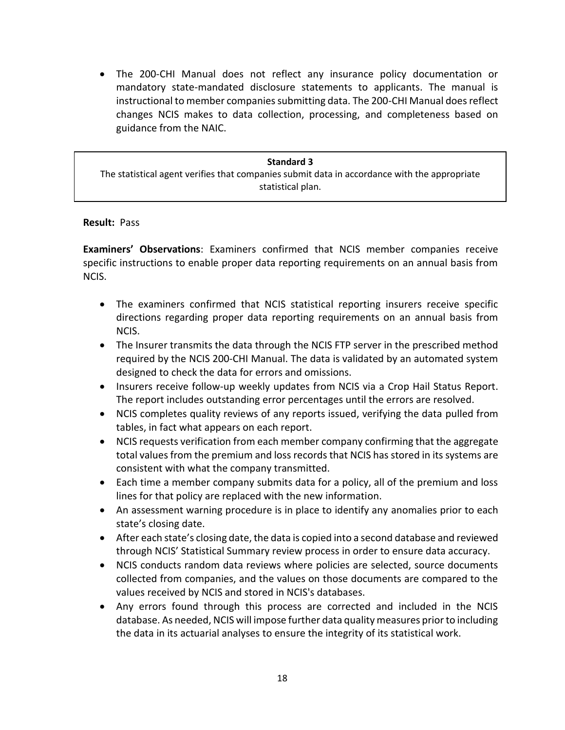• The 200-CHI Manual does not reflect any insurance policy documentation or mandatory state-mandated disclosure statements to applicants. The manual is instructional to member companies submitting data. The 200-CHI Manual does reflect changes NCIS makes to data collection, processing, and completeness based on guidance from the NAIC.

#### **Standard 3**

**Results**: *Pass* The statistical agent verifies that companies submit data in accordance with the appropriate statistical plan.

#### **Result:** Pass

**Examiners' Observations**: Examiners confirmed that NCIS member companies receive specific instructions to enable proper data reporting requirements on an annual basis from NCIS.

- The examiners confirmed that NCIS statistical reporting insurers receive specific directions regarding proper data reporting requirements on an annual basis from NCIS.
- The Insurer transmits the data through the NCIS FTP server in the prescribed method required by the NCIS 200-CHI Manual. The data is validated by an automated system designed to check the data for errors and omissions.
- Insurers receive follow-up weekly updates from NCIS via a Crop Hail Status Report. The report includes outstanding error percentages until the errors are resolved.
- NCIS completes quality reviews of any reports issued, verifying the data pulled from tables, in fact what appears on each report.
- NCIS requests verification from each member company confirming that the aggregate total values from the premium and loss records that NCIS has stored in its systems are consistent with what the company transmitted.
- Each time a member company submits data for a policy, all of the premium and loss lines for that policy are replaced with the new information.
- An assessment warning procedure is in place to identify any anomalies prior to each state's closing date.
- After each state's closing date, the data is copied into a second database and reviewed through NCIS' Statistical Summary review process in order to ensure data accuracy.
- NCIS conducts random data reviews where policies are selected, source documents collected from companies, and the values on those documents are compared to the values received by NCIS and stored in NCIS's databases.
- Any errors found through this process are corrected and included in the NCIS database. As needed, NCIS will impose further data quality measures prior to including the data in its actuarial analyses to ensure the integrity of its statistical work.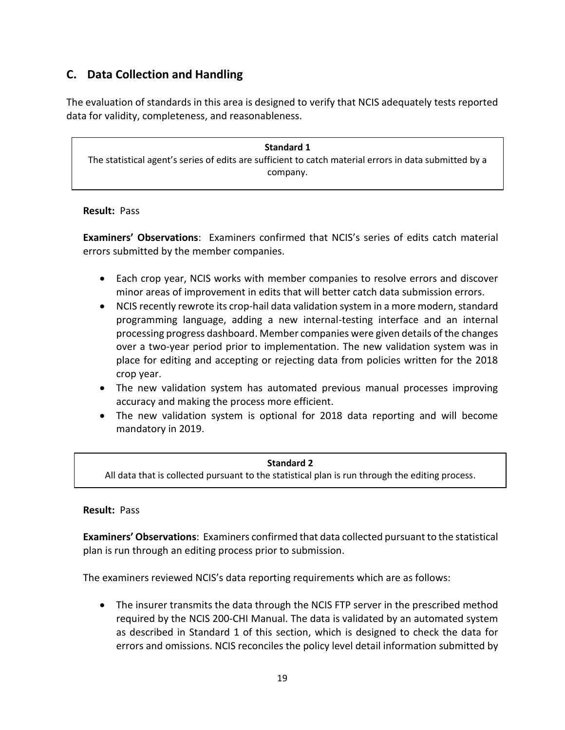## <span id="page-20-0"></span>**C. Data Collection and Handling**

The evaluation of standards in this area is designed to verify that NCIS adequately tests reported data for validity, completeness, and reasonableness.

**Standard 1** The statistical agent's series of edits are sufficient to catch material errors in data submitted by a company.

## **Result:** Pass

**Examiners' Observations**: Examiners confirmed that NCIS's series of edits catch material errors submitted by the member companies.

- Each crop year, NCIS works with member companies to resolve errors and discover minor areas of improvement in edits that will better catch data submission errors.
- NCIS recently rewrote its crop-hail data validation system in a more modern, standard programming language, adding a new internal-testing interface and an internal processing progress dashboard. Member companies were given details of the changes over a two-year period prior to implementation. The new validation system was in place for editing and accepting or rejecting data from policies written for the 2018 crop year.
- The new validation system has automated previous manual processes improving accuracy and making the process more efficient.
- The new validation system is optional for 2018 data reporting and will become mandatory in 2019.

## **Standard 2**

All data that is collected pursuant to the statistical plan is run through the editing process.

## **Result:** Pass

**Examiners' Observations**: Examiners confirmed that data collected pursuant to the statistical plan is run through an editing process prior to submission.

The examiners reviewed NCIS's data reporting requirements which are as follows:

• The insurer transmits the data through the NCIS FTP server in the prescribed method required by the NCIS 200-CHI Manual. The data is validated by an automated system as described in Standard 1 of this section, which is designed to check the data for errors and omissions. NCIS reconciles the policy level detail information submitted by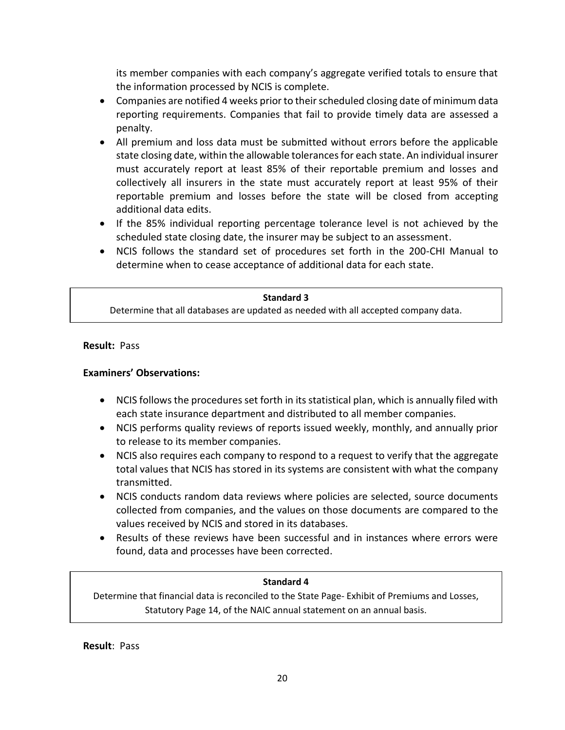its member companies with each company's aggregate verified totals to ensure that the information processed by NCIS is complete.

- Companies are notified 4 weeks prior to their scheduled closing date of minimum data reporting requirements. Companies that fail to provide timely data are assessed a penalty.
- All premium and loss data must be submitted without errors before the applicable state closing date, within the allowable tolerances for each state. An individual insurer must accurately report at least 85% of their reportable premium and losses and collectively all insurers in the state must accurately report at least 95% of their reportable premium and losses before the state will be closed from accepting additional data edits.
- If the 85% individual reporting percentage tolerance level is not achieved by the scheduled state closing date, the insurer may be subject to an assessment.
- NCIS follows the standard set of procedures set forth in the 200-CHI Manual to determine when to cease acceptance of additional data for each state.

#### **Standard 3**

Determine that all databases are updated as needed with all accepted company data.

**Result:** Pass

## **Examiners' Observations:**

- NCIS follows the procedures set forth in its statistical plan, which is annually filed with each state insurance department and distributed to all member companies.
- NCIS performs quality reviews of reports issued weekly, monthly, and annually prior to release to its member companies.
- NCIS also requires each company to respond to a request to verify that the aggregate total values that NCIS has stored in its systems are consistent with what the company transmitted.
- NCIS conducts random data reviews where policies are selected, source documents collected from companies, and the values on those documents are compared to the values received by NCIS and stored in its databases.
- Results of these reviews have been successful and in instances where errors were found, data and processes have been corrected.

## **Standard 4**

Determine that financial data is reconciled to the State Page- Exhibit of Premiums and Losses, Statutory Page 14, of the NAIC annual statement on an annual basis.

**Result**: Pass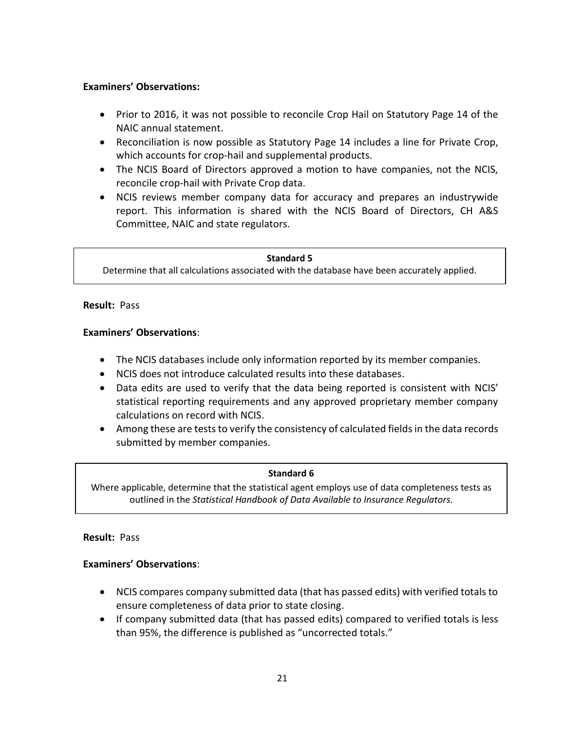## **Examiners' Observations:**

- Prior to 2016, it was not possible to reconcile Crop Hail on Statutory Page 14 of the NAIC annual statement.
- Reconciliation is now possible as Statutory Page 14 includes a line for Private Crop, which accounts for crop-hail and supplemental products.
- The NCIS Board of Directors approved a motion to have companies, not the NCIS, reconcile crop-hail with Private Crop data.
- NCIS reviews member company data for accuracy and prepares an industrywide report. This information is shared with the NCIS Board of Directors, CH A&S Committee, NAIC and state regulators.

#### **Standard 5**

Determine that all calculations associated with the database have been accurately applied.

#### **Result:** Pass

## **Examiners' Observations**:

- The NCIS databases include only information reported by its member companies.
- NCIS does not introduce calculated results into these databases.
- Data edits are used to verify that the data being reported is consistent with NCIS' statistical reporting requirements and any approved proprietary member company calculations on record with NCIS.
- Among these are tests to verify the consistency of calculated fields in the data records submitted by member companies.

## **Standard 6**

Where applicable, determine that the statistical agent employs use of data completeness tests as outlined in the *Statistical Handbook of Data Available to Insurance Regulators.*

## **Result:** Pass

## **Examiners' Observations**:

- NCIS compares company submitted data (that has passed edits) with verified totals to ensure completeness of data prior to state closing.
- If company submitted data (that has passed edits) compared to verified totals is less than 95%, the difference is published as "uncorrected totals."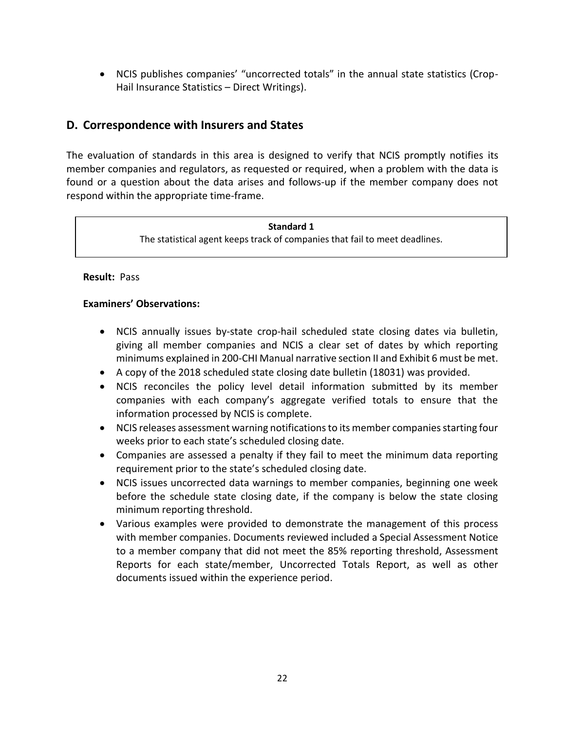• NCIS publishes companies' "uncorrected totals" in the annual state statistics (Crop-Hail Insurance Statistics – Direct Writings).

## <span id="page-23-0"></span>**D. Correspondence with Insurers and States**

The evaluation of standards in this area is designed to verify that NCIS promptly notifies its member companies and regulators, as requested or required, when a problem with the data is found or a question about the data arises and follows-up if the member company does not respond within the appropriate time-frame.

#### **Standard 1**

The statistical agent keeps track of companies that fail to meet deadlines.

**Result:** Pass

## **Examiners' Observations:**

- NCIS annually issues by-state crop-hail scheduled state closing dates via bulletin, giving all member companies and NCIS a clear set of dates by which reporting minimums explained in 200-CHI Manual narrative section II and Exhibit 6 must be met.
- A copy of the 2018 scheduled state closing date bulletin (18031) was provided.
- NCIS reconciles the policy level detail information submitted by its member companies with each company's aggregate verified totals to ensure that the information processed by NCIS is complete.
- NCIS releases assessment warning notifications to its member companies starting four weeks prior to each state's scheduled closing date.
- Companies are assessed a penalty if they fail to meet the minimum data reporting requirement prior to the state's scheduled closing date.
- NCIS issues uncorrected data warnings to member companies, beginning one week before the schedule state closing date, if the company is below the state closing minimum reporting threshold.
- Various examples were provided to demonstrate the management of this process with member companies. Documents reviewed included a Special Assessment Notice to a member company that did not meet the 85% reporting threshold, Assessment Reports for each state/member, Uncorrected Totals Report, as well as other documents issued within the experience period.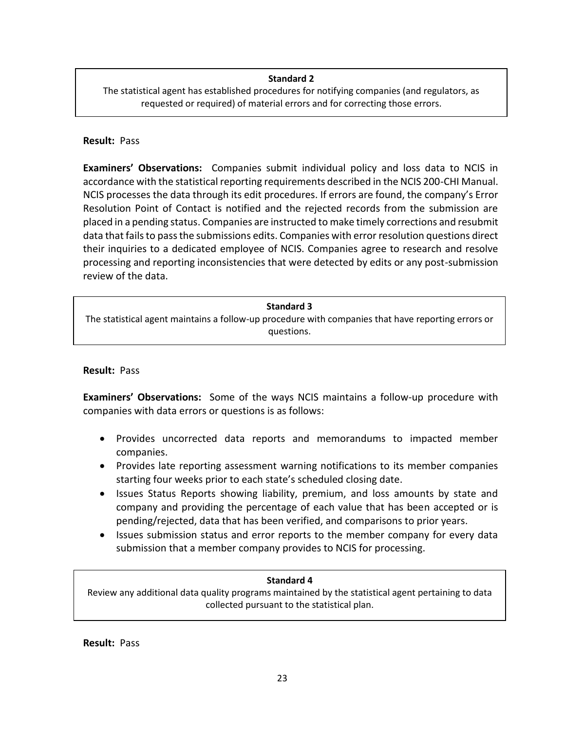### **Standard 2**

The statistical agent has established procedures for notifying companies (and regulators, as requested or required) of material errors and for correcting those errors.

#### **Result:** Pass

**Examiners' Observations:** Companies submit individual policy and loss data to NCIS in accordance with the statistical reporting requirements described in the NCIS 200-CHI Manual. NCIS processes the data through its edit procedures. If errors are found, the company's Error Resolution Point of Contact is notified and the rejected records from the submission are placed in a pending status. Companies are instructed to make timely corrections and resubmit data that fails to pass the submissions edits. Companies with error resolution questions direct their inquiries to a dedicated employee of NCIS. Companies agree to research and resolve processing and reporting inconsistencies that were detected by edits or any post-submission review of the data.

The statistical agent maintains a follow-up procedure with companies that have reporting errors or questions.

### **Result:** Pass

**Examiners' Observations:** Some of the ways NCIS maintains a follow-up procedure with companies with data errors or questions is as follows:

- Provides uncorrected data reports and memorandums to impacted member companies.
- Provides late reporting assessment warning notifications to its member companies starting four weeks prior to each state's scheduled closing date.
- Issues Status Reports showing liability, premium, and loss amounts by state and company and providing the percentage of each value that has been accepted or is pending/rejected, data that has been verified, and comparisons to prior years.
- Issues submission status and error reports to the member company for every data submission that a member company provides to NCIS for processing.

#### **Standard 4**

Review any additional data quality programs maintained by the statistical agent pertaining to data collected pursuant to the statistical plan.

**Result:** Pass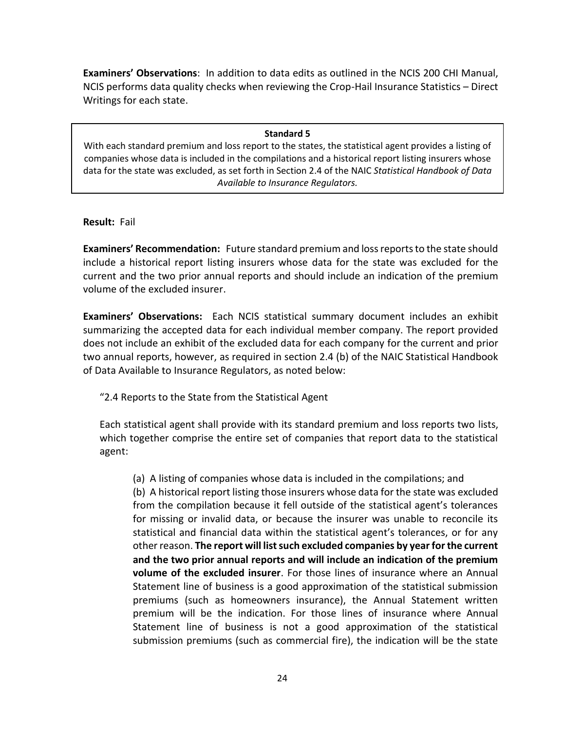**Examiners' Observations**: In addition to data edits as outlined in the NCIS 200 CHI Manual, NCIS performs data quality checks when reviewing the Crop-Hail Insurance Statistics – Direct Writings for each state.

#### **Standard 5**

With each standard premium and loss report to the states, the statistical agent provides a listing of companies whose data is included in the compilations and a historical report listing insurers whose data for the state was excluded, as set forth in Section 2.4 of the NAIC *Statistical Handbook of Data Available to Insurance Regulators.*

#### **Result:** Fail

**Examiners' Recommendation:** Future standard premium and loss reports to the state should include a historical report listing insurers whose data for the state was excluded for the current and the two prior annual reports and should include an indication of the premium volume of the excluded insurer.

**Examiners' Observations:** Each NCIS statistical summary document includes an exhibit summarizing the accepted data for each individual member company. The report provided does not include an exhibit of the excluded data for each company for the current and prior two annual reports, however, as required in section 2.4 (b) of the NAIC Statistical Handbook of Data Available to Insurance Regulators, as noted below:

"2.4 Reports to the State from the Statistical Agent

Each statistical agent shall provide with its standard premium and loss reports two lists, which together comprise the entire set of companies that report data to the statistical agent:

(a) A listing of companies whose data is included in the compilations; and (b) A historical report listing those insurers whose data for the state was excluded from the compilation because it fell outside of the statistical agent's tolerances for missing or invalid data, or because the insurer was unable to reconcile its statistical and financial data within the statistical agent's tolerances, or for any other reason. **The report will list such excluded companies by year for the current and the two prior annual reports and will include an indication of the premium volume of the excluded insurer**. For those lines of insurance where an Annual Statement line of business is a good approximation of the statistical submission premiums (such as homeowners insurance), the Annual Statement written premium will be the indication. For those lines of insurance where Annual Statement line of business is not a good approximation of the statistical submission premiums (such as commercial fire), the indication will be the state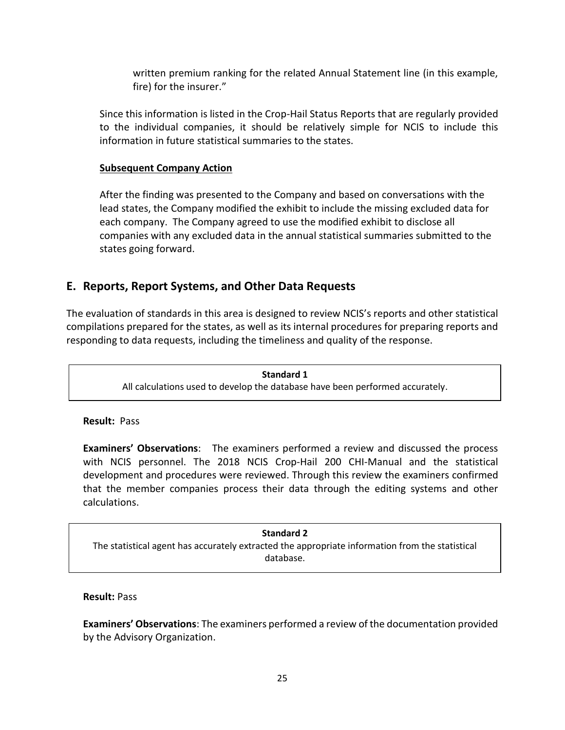written premium ranking for the related Annual Statement line (in this example, fire) for the insurer."

Since this information is listed in the Crop-Hail Status Reports that are regularly provided to the individual companies, it should be relatively simple for NCIS to include this information in future statistical summaries to the states.

## **Subsequent Company Action**

After the finding was presented to the Company and based on conversations with the lead states, the Company modified the exhibit to include the missing excluded data for each company. The Company agreed to use the modified exhibit to disclose all companies with any excluded data in the annual statistical summaries submitted to the states going forward.

## <span id="page-26-0"></span>**E. Reports, Report Systems, and Other Data Requests**

The evaluation of standards in this area is designed to review NCIS's reports and other statistical compilations prepared for the states, as well as its internal procedures for preparing reports and responding to data requests, including the timeliness and quality of the response.

> **Standard 1** All calculations used to develop the database have been performed accurately.

**Result:** Pass

**Examiners' Observations**: The examiners performed a review and discussed the process with NCIS personnel. The 2018 NCIS Crop-Hail 200 CHI-Manual and the statistical development and procedures were reviewed. Through this review the examiners confirmed that the member companies process their data through the editing systems and other calculations.

**Standard 2** The statistical agent has accurately extracted the appropriate information from the statistical database.

## **Result:** Pass

**Examiners' Observations**: The examiners performed a review of the documentation provided by the Advisory Organization.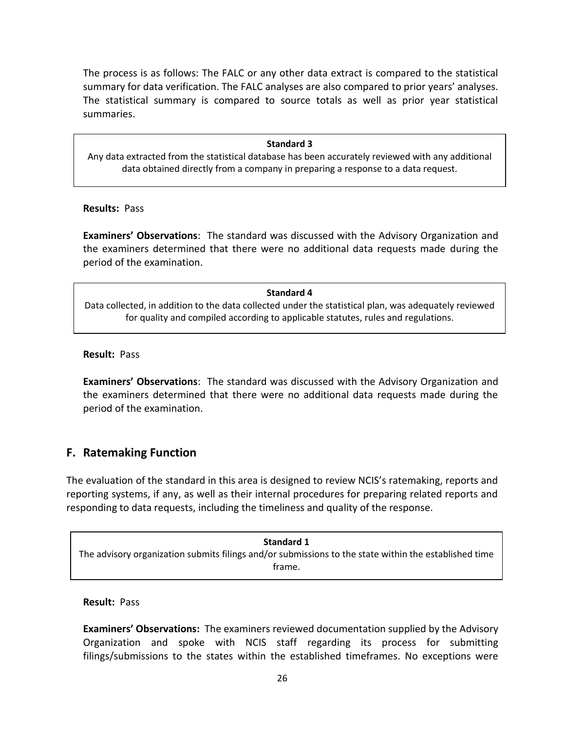The process is as follows: The FALC or any other data extract is compared to the statistical summary for data verification. The FALC analyses are also compared to prior years' analyses. The statistical summary is compared to source totals as well as prior year statistical summaries.

#### **Standard 3**

Any data extracted from the statistical database has been accurately reviewed with any additional data obtained directly from a company in preparing a response to a data request.

**Results:** Pass

**Examiners' Observations**: The standard was discussed with the Advisory Organization and the examiners determined that there were no additional data requests made during the period of the examination.

#### **Standard 4**

Data collected, in addition to the data collected under the statistical plan, was adequately reviewed for quality and compiled according to applicable statutes, rules and regulations.

#### **Result:** Pass

**Examiners' Observations**: The standard was discussed with the Advisory Organization and the examiners determined that there were no additional data requests made during the period of the examination.

## <span id="page-27-0"></span>**F. Ratemaking Function**

The evaluation of the standard in this area is designed to review NCIS's ratemaking, reports and reporting systems, if any, as well as their internal procedures for preparing related reports and responding to data requests, including the timeliness and quality of the response.

**Standard 1** The advisory organization submits filings and/or submissions to the state within the established time frame.

#### **Result:** Pass

**Examiners' Observations:** The examiners reviewed documentation supplied by the Advisory Organization and spoke with NCIS staff regarding its process for submitting filings/submissions to the states within the established timeframes. No exceptions were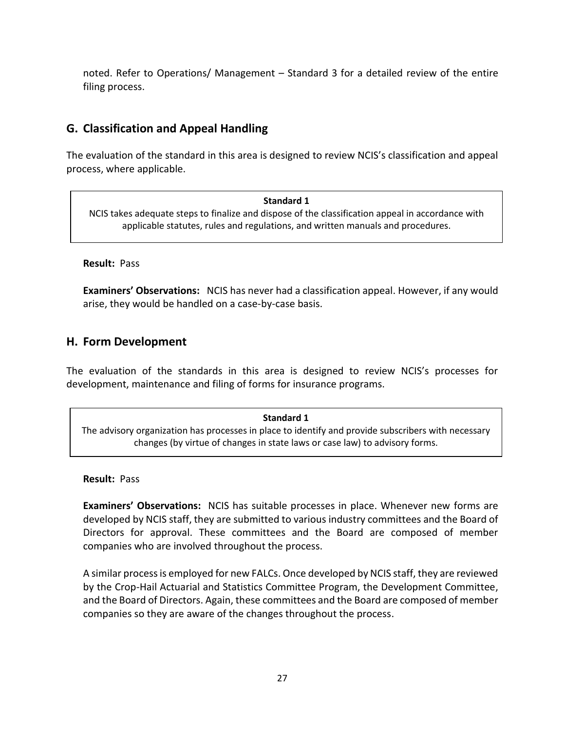noted. Refer to Operations/ Management – Standard 3 for a detailed review of the entire filing process.

## <span id="page-28-0"></span>**G. Classification and Appeal Handling**

The evaluation of the standard in this area is designed to review NCIS's classification and appeal process, where applicable.

#### **Standard 1**

NCIS takes adequate steps to finalize and dispose of the classification appeal in accordance with applicable statutes, rules and regulations, and written manuals and procedures.

**Result:** Pass

**Examiners' Observations:** NCIS has never had a classification appeal. However, if any would arise, they would be handled on a case-by-case basis.

## <span id="page-28-1"></span>**H. Form Development**

The evaluation of the standards in this area is designed to review NCIS's processes for development, maintenance and filing of forms for insurance programs.

## **Standard 1**

The advisory organization has processes in place to identify and provide subscribers with necessary changes (by virtue of changes in state laws or case law) to advisory forms.

**Result:** Pass

**Examiners' Observations:** NCIS has suitable processes in place. Whenever new forms are developed by NCIS staff, they are submitted to various industry committees and the Board of Directors for approval. These committees and the Board are composed of member companies who are involved throughout the process.

A similar process is employed for new FALCs. Once developed by NCIS staff, they are reviewed by the Crop-Hail Actuarial and Statistics Committee Program, the Development Committee, and the Board of Directors. Again, these committees and the Board are composed of member companies so they are aware of the changes throughout the process.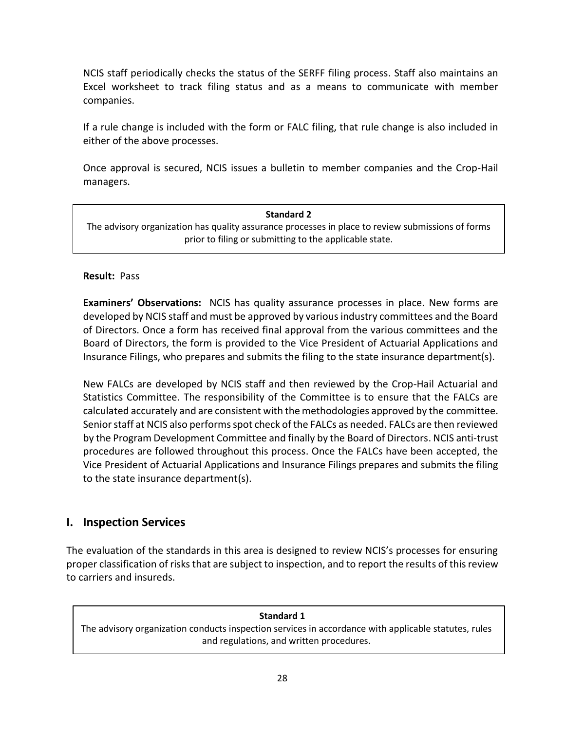NCIS staff periodically checks the status of the SERFF filing process. Staff also maintains an Excel worksheet to track filing status and as a means to communicate with member companies.

If a rule change is included with the form or FALC filing, that rule change is also included in either of the above processes.

Once approval is secured, NCIS issues a bulletin to member companies and the Crop-Hail managers.

# **Standard 2** The advisory organization has quality assurance processes in place to review submissions of forms prior to filing or submitting to the applicable state.

## **Result:** Pass

**Examiners' Observations:** NCIS has quality assurance processes in place. New forms are developed by NCIS staff and must be approved by various industry committees and the Board of Directors. Once a form has received final approval from the various committees and the Board of Directors, the form is provided to the Vice President of Actuarial Applications and Insurance Filings, who prepares and submits the filing to the state insurance department(s).

New FALCs are developed by NCIS staff and then reviewed by the Crop-Hail Actuarial and Statistics Committee. The responsibility of the Committee is to ensure that the FALCs are calculated accurately and are consistent with the methodologies approved by the committee. Senior staff at NCIS also performs spot check of the FALCs as needed. FALCs are then reviewed by the Program Development Committee and finally by the Board of Directors. NCIS anti-trust procedures are followed throughout this process. Once the FALCs have been accepted, the Vice President of Actuarial Applications and Insurance Filings prepares and submits the filing to the state insurance department(s).

## <span id="page-29-0"></span>**I. Inspection Services**

The evaluation of the standards in this area is designed to review NCIS's processes for ensuring proper classification of risks that are subject to inspection, and to report the results of this review to carriers and insureds.

## **Standard 1**

The advisory organization conducts inspection services in accordance with applicable statutes, rules and regulations, and written procedures.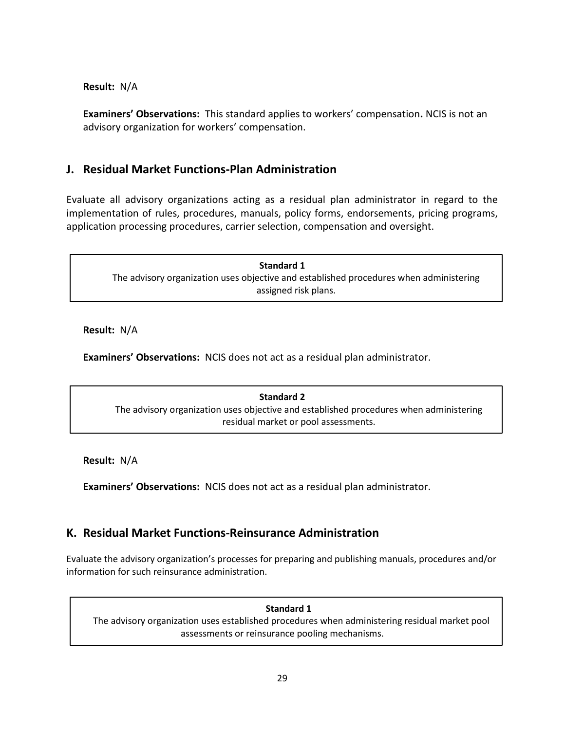## **Result:** N/A

**Examiners' Observations:** This standard applies to workers' compensation**.** NCIS is not an advisory organization for workers' compensation.

## <span id="page-30-0"></span>**J. Residual Market Functions-Plan Administration**

Evaluate all advisory organizations acting as a residual plan administrator in regard to the implementation of rules, procedures, manuals, policy forms, endorsements, pricing programs, application processing procedures, carrier selection, compensation and oversight.

 $\overline{a}$ 

**Standard 1** The advisory organization uses objective and established procedures when administering assigned risk plans.

**Result:** N/A

**Examiners' Observations:** NCIS does not act as a residual plan administrator.

**Standard 2** The advisory organization uses objective and established procedures when administering residual market or pool assessments.

**Result:** N/A

<span id="page-30-1"></span>**Examiners' Observations:** NCIS does not act as a residual plan administrator.

## **K. Residual Market Functions-Reinsurance Administration**

Evaluate the advisory organization's processes for preparing and publishing manuals, procedures and/or information for such reinsurance administration.

**Standard 1** The advisory organization uses established procedures when administering residual market pool assessments or reinsurance pooling mechanisms.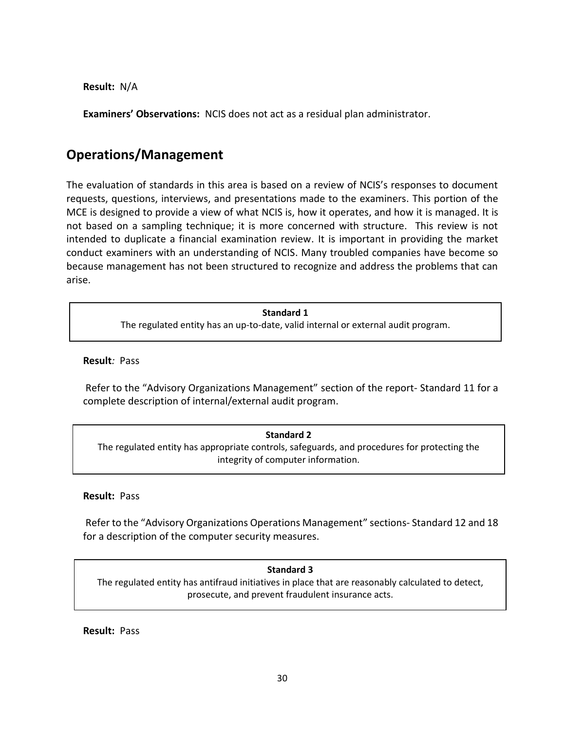**Result:** N/A

**Examiners' Observations:** NCIS does not act as a residual plan administrator.

# <span id="page-31-0"></span>**Operations/Management**

The evaluation of standards in this area is based on a review of NCIS's responses to document requests, questions, interviews, and presentations made to the examiners. This portion of the MCE is designed to provide a view of what NCIS is, how it operates, and how it is managed. It is not based on a sampling technique; it is more concerned with structure. This review is not intended to duplicate a financial examination review. It is important in providing the market conduct examiners with an understanding of NCIS. Many troubled companies have become so because management has not been structured to recognize and address the problems that can arise.

## **Standard 1** The regulated entity has an up-to-date, valid internal or external audit program.

**Result***:* Pass

Refer to the "Advisory Organizations Management" section of the report- Standard 11 for a complete description of internal/external audit program.

#### **Standard 2**

The regulated entity has appropriate controls, safeguards, and procedures for protecting the integrity of computer information.

**Result:** Pass

Refer to the "Advisory Organizations Operations Management" sections- Standard 12 and 18 for a description of the computer security measures.

## **Standard 3**

The regulated entity has antifraud initiatives in place that are reasonably calculated to detect, prosecute, and prevent fraudulent insurance acts.

**Result:**Pass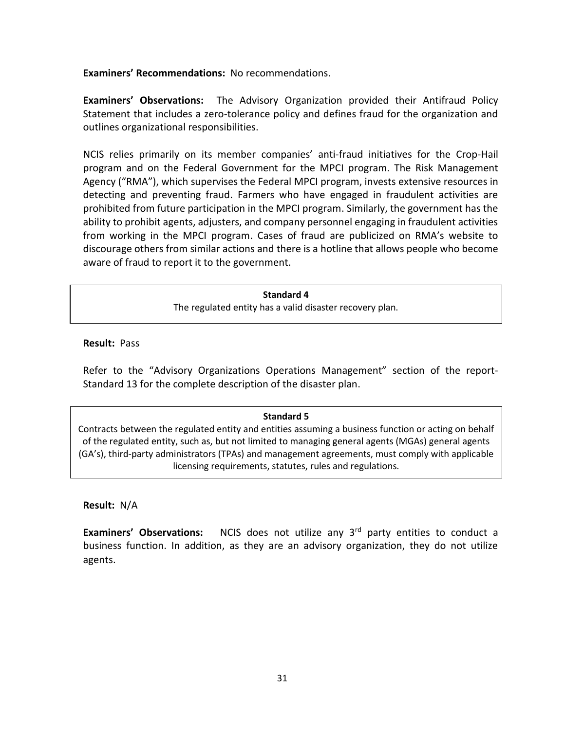**Examiners' Recommendations:** No recommendations.

**Examiners' Observations:** The Advisory Organization provided their Antifraud Policy Statement that includes a zero-tolerance policy and defines fraud for the organization and outlines organizational responsibilities.

NCIS relies primarily on its member companies' anti-fraud initiatives for the Crop-Hail program and on the Federal Government for the MPCI program. The Risk Management Agency ("RMA"), which supervises the Federal MPCI program, invests extensive resources in detecting and preventing fraud. Farmers who have engaged in fraudulent activities are prohibited from future participation in the MPCI program. Similarly, the government has the ability to prohibit agents, adjusters, and company personnel engaging in fraudulent activities from working in the MPCI program. Cases of fraud are publicized on RMA's website to discourage others from similar actions and there is a hotline that allows people who become aware of fraud to report it to the government.

#### **Standard 4**

The regulated entity has a valid disaster recovery plan.

**Result:** Pass

Refer to the "Advisory Organizations Operations Management" section of the report-Standard 13 for the complete description of the disaster plan.

#### **Standard 5**

Contracts between the regulated entity and entities assuming a business function or acting on behalf of the regulated entity, such as, but not limited to managing general agents (MGAs) general agents (GA's), third-party administrators (TPAs) and management agreements, must comply with applicable licensing requirements, statutes, rules and regulations.

**Result:** N/A

**Examiners' Observations:** NCIS does not utilize any 3<sup>rd</sup> party entities to conduct a business function. In addition, as they are an advisory organization, they do not utilize agents.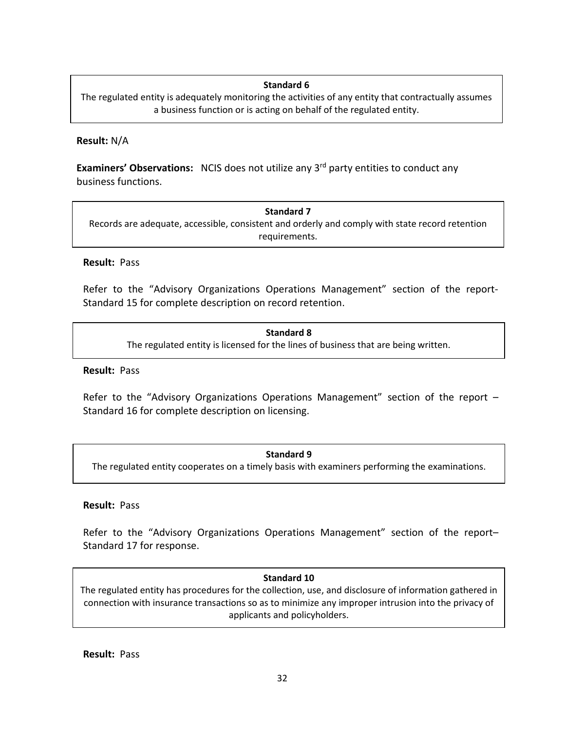### **Standard 6**

The regulated entity is adequately monitoring the activities of any entity that contractually assumes a business function or is acting on behalf of the regulated entity.

#### **Result:** N/A

**Examiners' Observations:** NCIS does not utilize any 3<sup>rd</sup> party entities to conduct any business functions.

**Standard 7** Records are adequate, accessible, consistent and orderly and comply with state record retention requirements.

#### **Result:** Pass

Refer to the "Advisory Organizations Operations Management" section of the report-Standard 15 for complete description on record retention.

> **Standard 8** The regulated entity is licensed for the lines of business that are being written.

#### **Result:** Pass

Refer to the "Advisory Organizations Operations Management" section of the report -Standard 16 for complete description on licensing.

## **Standard 9** The regulated entity cooperates on a timely basis with examiners performing the examinations.

#### **Result:** Pass

Refer to the "Advisory Organizations Operations Management" section of the report– Standard 17 for response.

#### **Standard 10**

connection with insurance transactions so as to minimize any improper intrusion into the privacy of The regulated entity has procedures for the collection, use, and disclosure of information gathered in applicants and policyholders.

**Result:** Pass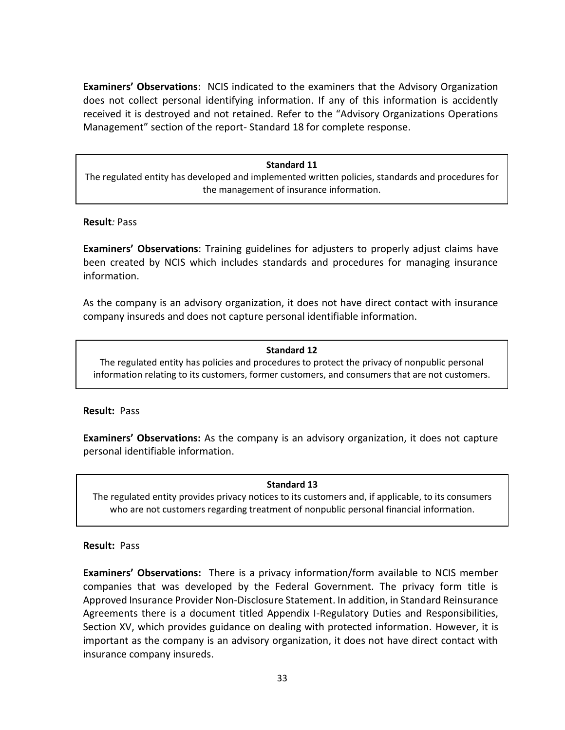**Examiners' Observations**: NCIS indicated to the examiners that the Advisory Organization does not collect personal identifying information. If any of this information is accidently received it is destroyed and not retained. Refer to the "Advisory Organizations Operations Management" section of the report- Standard 18 for complete response.

#### **Standard 11**

The regulated entity has developed and implemented written policies, standards and procedures for the management of insurance information.

#### **Result***:* Pass

**Examiners' Observations**: Training guidelines for adjusters to properly adjust claims have been created by NCIS which includes standards and procedures for managing insurance information.

As the company is an advisory organization, it does not have direct contact with insurance company insureds and does not capture personal identifiable information.

#### **Standard 12**

The regulated entity has policies and procedures to protect the privacy of nonpublic personal information relating to its customers, former customers, and consumers that are not customers.

#### **Result:** Pass

**Examiners' Observations:** As the company is an advisory organization, it does not capture personal identifiable information.

#### **Standard 13**

The regulated entity provides privacy notices to its customers and, if applicable, to its consumers who are not customers regarding treatment of nonpublic personal financial information.

#### **Result:** Pass

**Examiners' Observations:** There is a privacy information/form available to NCIS member companies that was developed by the Federal Government. The privacy form title is Approved Insurance Provider Non-Disclosure Statement. In addition, in Standard Reinsurance Agreements there is a document titled Appendix I-Regulatory Duties and Responsibilities, Section XV, which provides guidance on dealing with protected information. However, it is important as the company is an advisory organization, it does not have direct contact with insurance company insureds.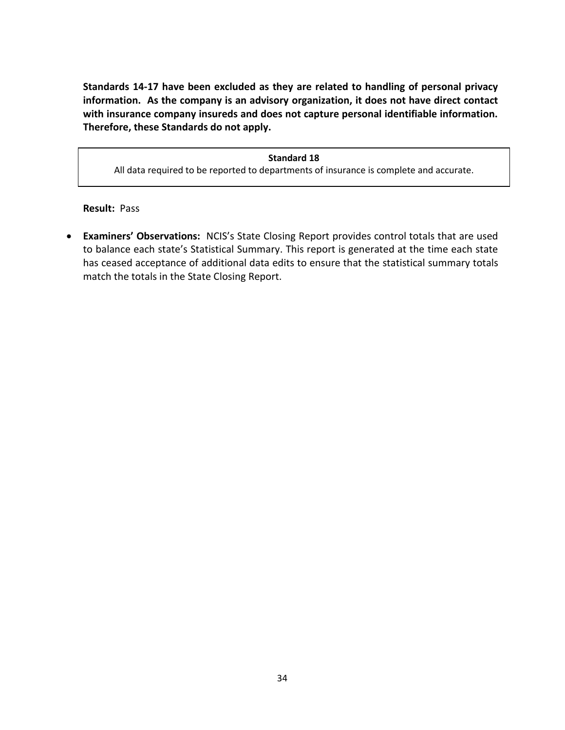**Standards 14-17 have been excluded as they are related to handling of personal privacy information. As the company is an advisory organization, it does not have direct contact with insurance company insureds and does not capture personal identifiable information. Therefore, these Standards do not apply.**

**Standard 18** All data required to be reported to departments of insurance is complete and accurate.

**Result:** Pass

• **Examiners' Observations:** NCIS's State Closing Report provides control totals that are used to balance each state's Statistical Summary. This report is generated at the time each state has ceased acceptance of additional data edits to ensure that the statistical summary totals match the totals in the State Closing Report.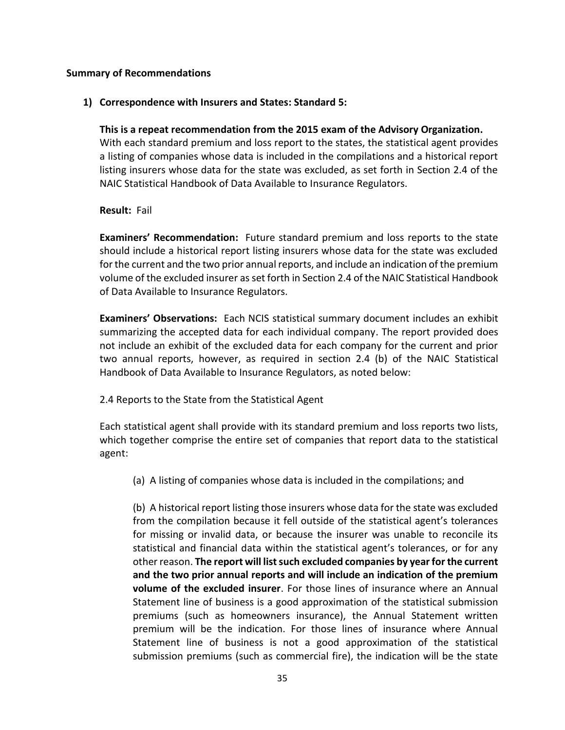### <span id="page-36-0"></span>**Summary of Recommendations**

## **1) Correspondence with Insurers and States: Standard 5:**

**This is a repeat recommendation from the 2015 exam of the Advisory Organization.** With each standard premium and loss report to the states, the statistical agent provides a listing of companies whose data is included in the compilations and a historical report listing insurers whose data for the state was excluded, as set forth in Section 2.4 of the NAIC Statistical Handbook of Data Available to Insurance Regulators.

## **Result:** Fail

**Examiners' Recommendation:** Future standard premium and loss reports to the state should include a historical report listing insurers whose data for the state was excluded for the current and the two prior annual reports, and include an indication of the premium volume of the excluded insurer as set forth in Section 2.4 of the NAIC Statistical Handbook of Data Available to Insurance Regulators.

**Examiners' Observations:** Each NCIS statistical summary document includes an exhibit summarizing the accepted data for each individual company. The report provided does not include an exhibit of the excluded data for each company for the current and prior two annual reports, however, as required in section 2.4 (b) of the NAIC Statistical Handbook of Data Available to Insurance Regulators, as noted below:

## 2.4 Reports to the State from the Statistical Agent

Each statistical agent shall provide with its standard premium and loss reports two lists, which together comprise the entire set of companies that report data to the statistical agent:

(a) A listing of companies whose data is included in the compilations; and

(b) A historical report listing those insurers whose data for the state was excluded from the compilation because it fell outside of the statistical agent's tolerances for missing or invalid data, or because the insurer was unable to reconcile its statistical and financial data within the statistical agent's tolerances, or for any other reason. **The report will list such excluded companies by year for the current and the two prior annual reports and will include an indication of the premium volume of the excluded insurer**. For those lines of insurance where an Annual Statement line of business is a good approximation of the statistical submission premiums (such as homeowners insurance), the Annual Statement written premium will be the indication. For those lines of insurance where Annual Statement line of business is not a good approximation of the statistical submission premiums (such as commercial fire), the indication will be the state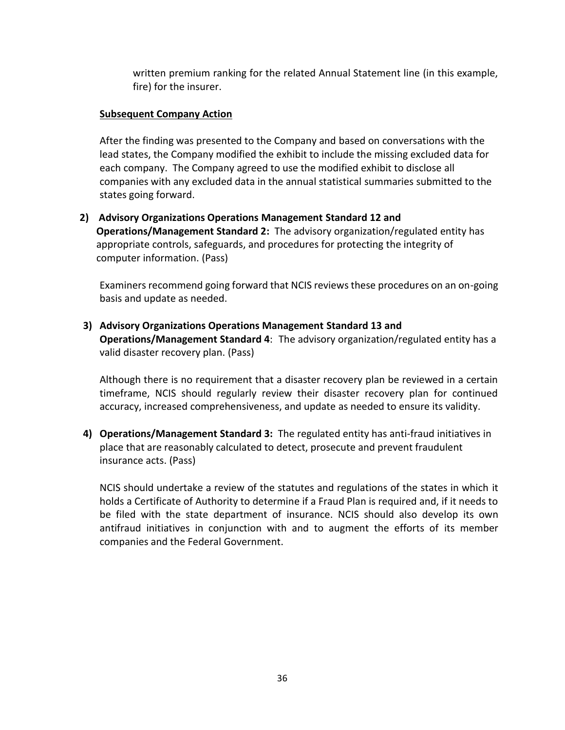written premium ranking for the related Annual Statement line (in this example, fire) for the insurer.

## **Subsequent Company Action**

After the finding was presented to the Company and based on conversations with the lead states, the Company modified the exhibit to include the missing excluded data for each company. The Company agreed to use the modified exhibit to disclose all companies with any excluded data in the annual statistical summaries submitted to the states going forward.

**2) Advisory Organizations Operations Management Standard 12 and Operations/Management Standard 2:** The advisory organization/regulated entity has appropriate controls, safeguards, and procedures for protecting the integrity of computer information. (Pass)

Examiners recommend going forward that NCIS reviews these procedures on an on-going basis and update as needed.

**3) Advisory Organizations Operations Management Standard 13 and Operations/Management Standard 4**:The advisory organization/regulated entity has a valid disaster recovery plan. (Pass)

Although there is no requirement that a disaster recovery plan be reviewed in a certain timeframe, NCIS should regularly review their disaster recovery plan for continued accuracy, increased comprehensiveness, and update as needed to ensure its validity.

**4) Operations/Management Standard 3:** The regulated entity has anti-fraud initiatives in place that are reasonably calculated to detect, prosecute and prevent fraudulent insurance acts. (Pass)

NCIS should undertake a review of the statutes and regulations of the states in which it holds a Certificate of Authority to determine if a Fraud Plan is required and, if it needs to be filed with the state department of insurance. NCIS should also develop its own antifraud initiatives in conjunction with and to augment the efforts of its member companies and the Federal Government.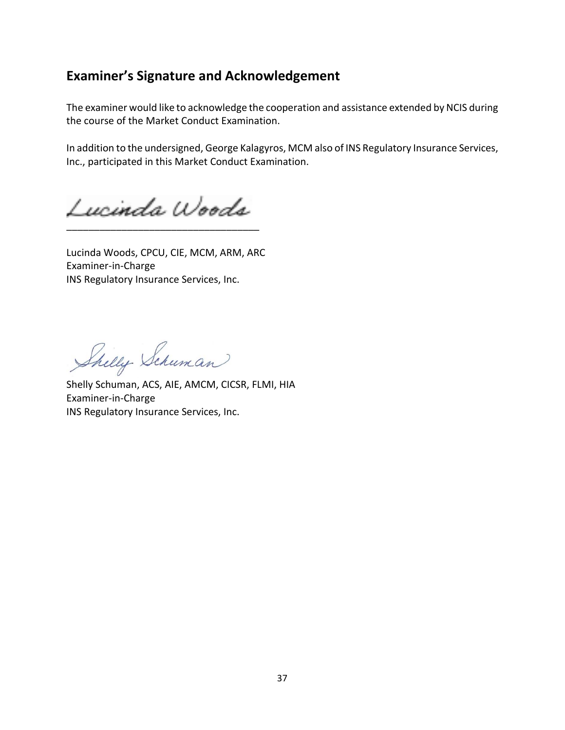# <span id="page-38-0"></span>**Examiner's Signature and Acknowledgement**

The examiner would like to acknowledge the cooperation and assistance extended by NCIS during the course of the Market Conduct Examination.

In addition to the undersigned, George Kalagyros, MCM also of INS Regulatory Insurance Services, Inc., participated in this Market Conduct Examination.

Lucinda Woods \_\_\_\_\_\_\_\_\_\_\_\_\_\_\_\_\_\_\_\_\_\_\_\_\_\_\_\_\_\_\_\_\_\_\_

Lucinda Woods, CPCU, CIE, MCM, ARM, ARC Examiner-in-Charge INS Regulatory Insurance Services, Inc.

Shelly Schuman

Shelly Schuman, ACS, AIE, AMCM, CICSR, FLMI, HIA Examiner-in-Charge INS Regulatory Insurance Services, Inc.